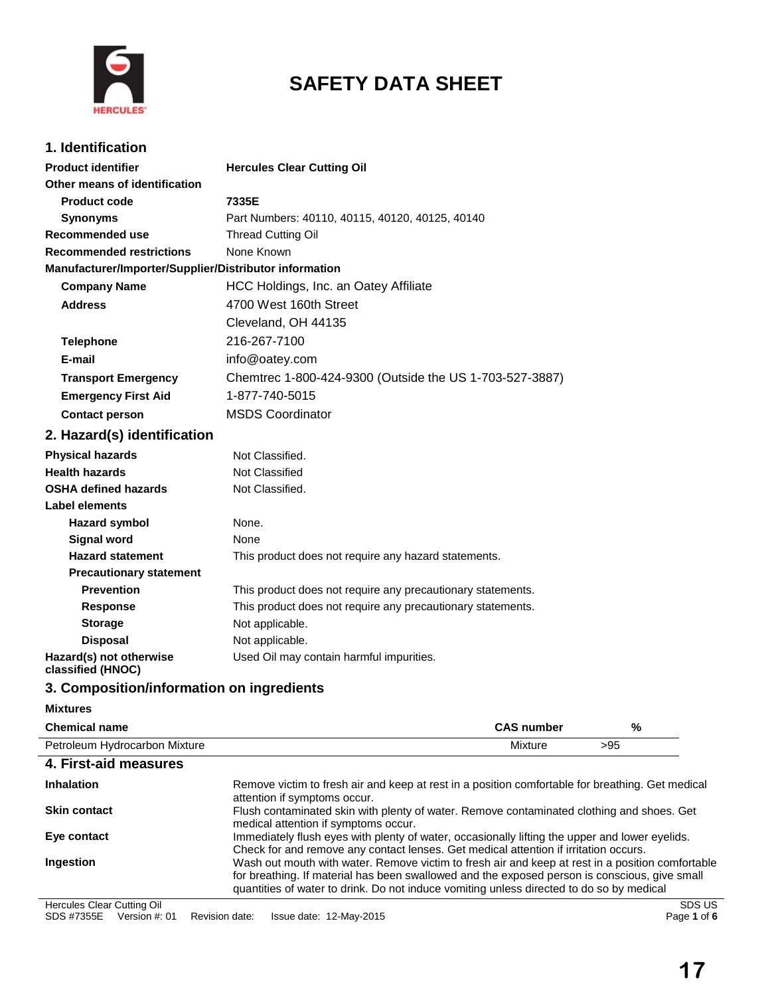

# **SAFETY DATA SHEET**

## **1. Identification**

| <b>Product identifier</b>                              | <b>Hercules Clear Cutting Oil</b>                           |
|--------------------------------------------------------|-------------------------------------------------------------|
| Other means of identification                          |                                                             |
| <b>Product code</b>                                    | 7335E                                                       |
| <b>Synonyms</b>                                        | Part Numbers: 40110, 40115, 40120, 40125, 40140             |
| <b>Recommended use</b>                                 | <b>Thread Cutting Oil</b>                                   |
| <b>Recommended restrictions</b>                        | None Known                                                  |
| Manufacturer/Importer/Supplier/Distributor information |                                                             |
| <b>Company Name</b>                                    | HCC Holdings, Inc. an Oatey Affiliate                       |
| <b>Address</b>                                         | 4700 West 160th Street                                      |
|                                                        | Cleveland, OH 44135                                         |
| <b>Telephone</b>                                       | 216-267-7100                                                |
| E-mail                                                 | info@oatey.com                                              |
| <b>Transport Emergency</b>                             | Chemtrec 1-800-424-9300 (Outside the US 1-703-527-3887)     |
| <b>Emergency First Aid</b>                             | 1-877-740-5015                                              |
| <b>Contact person</b>                                  | <b>MSDS Coordinator</b>                                     |
| 2. Hazard(s) identification                            |                                                             |
| <b>Physical hazards</b>                                | Not Classified.                                             |
| <b>Health hazards</b>                                  | Not Classified                                              |
| <b>OSHA defined hazards</b>                            | Not Classified.                                             |
| Label elements                                         |                                                             |
| <b>Hazard symbol</b>                                   | None.                                                       |
| <b>Signal word</b>                                     | None                                                        |
| <b>Hazard statement</b>                                | This product does not require any hazard statements.        |
| <b>Precautionary statement</b>                         |                                                             |
| <b>Prevention</b>                                      | This product does not require any precautionary statements. |
| <b>Response</b>                                        | This product does not require any precautionary statements. |
| <b>Storage</b>                                         | Not applicable.                                             |
| <b>Disposal</b>                                        | Not applicable.                                             |
| Hazard(s) not otherwise<br>classified (HNOC)           | Used Oil may contain harmful impurities.                    |

## **3. Composition/information on ingredients**

### **Mixtures**

| <b>Chemical name</b>          | <b>CAS number</b>                                                                                                                                                                                                                                                                             | %   |        |
|-------------------------------|-----------------------------------------------------------------------------------------------------------------------------------------------------------------------------------------------------------------------------------------------------------------------------------------------|-----|--------|
| Petroleum Hydrocarbon Mixture | Mixture                                                                                                                                                                                                                                                                                       | >95 |        |
| 4. First-aid measures         |                                                                                                                                                                                                                                                                                               |     |        |
| <b>Inhalation</b>             | Remove victim to fresh air and keep at rest in a position comfortable for breathing. Get medical<br>attention if symptoms occur.                                                                                                                                                              |     |        |
| <b>Skin contact</b>           | Flush contaminated skin with plenty of water. Remove contaminated clothing and shoes. Get<br>medical attention if symptoms occur.                                                                                                                                                             |     |        |
| Eye contact                   | Immediately flush eyes with plenty of water, occasionally lifting the upper and lower eyelids.<br>Check for and remove any contact lenses. Get medical attention if irritation occurs.                                                                                                        |     |        |
| Ingestion                     | Wash out mouth with water. Remove victim to fresh air and keep at rest in a position comfortable<br>for breathing. If material has been swallowed and the exposed person is conscious, give small<br>quantities of water to drink. Do not induce vomiting unless directed to do so by medical |     |        |
| Hercules Clear Cutting Oil    |                                                                                                                                                                                                                                                                                               |     | SDS US |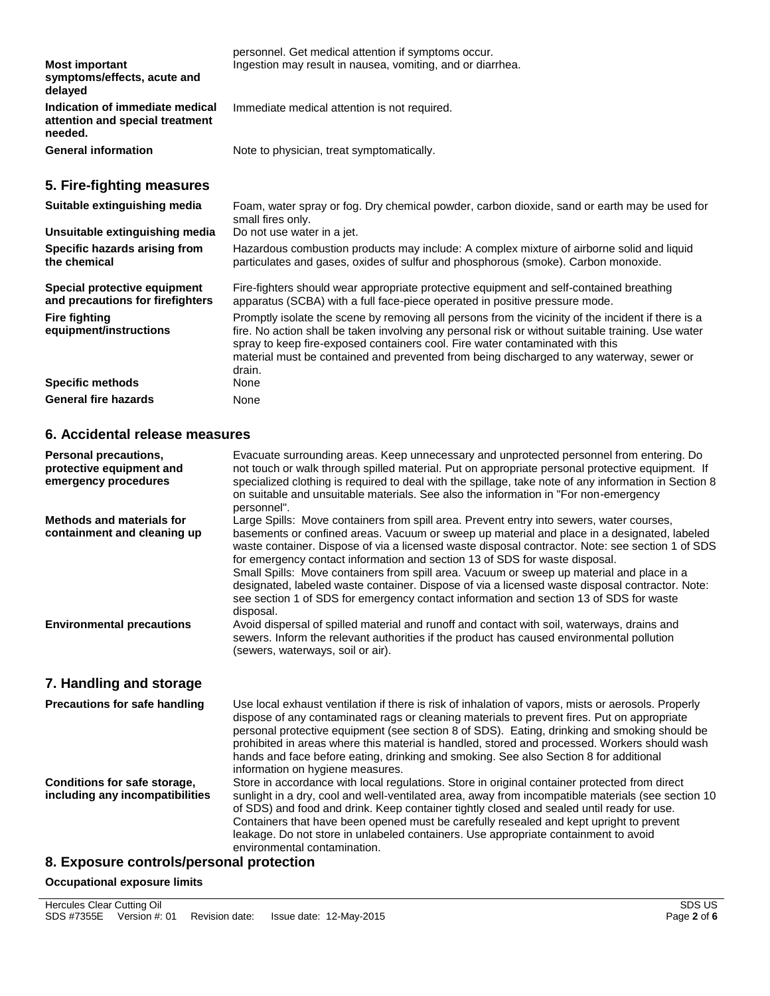| <b>Most important</b><br>symptoms/effects, acute and<br>delayed               | personnel. Get medical attention if symptoms occur.<br>Ingestion may result in nausea, vomiting, and or diarrhea.                                                                                                                                                                                                                                                                     |
|-------------------------------------------------------------------------------|---------------------------------------------------------------------------------------------------------------------------------------------------------------------------------------------------------------------------------------------------------------------------------------------------------------------------------------------------------------------------------------|
| Indication of immediate medical<br>attention and special treatment<br>needed. | Immediate medical attention is not required.                                                                                                                                                                                                                                                                                                                                          |
| <b>General information</b>                                                    | Note to physician, treat symptomatically.                                                                                                                                                                                                                                                                                                                                             |
| 5. Fire-fighting measures                                                     |                                                                                                                                                                                                                                                                                                                                                                                       |
| Suitable extinguishing media                                                  | Foam, water spray or fog. Dry chemical powder, carbon dioxide, sand or earth may be used for<br>small fires only.                                                                                                                                                                                                                                                                     |
| Unsuitable extinguishing media                                                | Do not use water in a jet.                                                                                                                                                                                                                                                                                                                                                            |
| Specific hazards arising from<br>the chemical                                 | Hazardous combustion products may include: A complex mixture of airborne solid and liquid<br>particulates and gases, oxides of sulfur and phosphorous (smoke). Carbon monoxide.                                                                                                                                                                                                       |
| Special protective equipment<br>and precautions for firefighters              | Fire-fighters should wear appropriate protective equipment and self-contained breathing<br>apparatus (SCBA) with a full face-piece operated in positive pressure mode.                                                                                                                                                                                                                |
| <b>Fire fighting</b><br>equipment/instructions                                | Promptly isolate the scene by removing all persons from the vicinity of the incident if there is a<br>fire. No action shall be taken involving any personal risk or without suitable training. Use water<br>spray to keep fire-exposed containers cool. Fire water contaminated with this<br>material must be contained and prevented from being discharged to any waterway, sewer or |

|                             | drain. |
|-----------------------------|--------|
| <b>Specific methods</b>     | None   |
| <b>General fire hazards</b> | None   |

## **6. Accidental release measures**

| Personal precautions,<br>protective equipment and<br>emergency procedures | Evacuate surrounding areas. Keep unnecessary and unprotected personnel from entering. Do<br>not touch or walk through spilled material. Put on appropriate personal protective equipment. If<br>specialized clothing is required to deal with the spillage, take note of any information in Section 8<br>on suitable and unsuitable materials. See also the information in "For non-emergency<br>personnel".                                                                                                                                                                                                                                                                      |
|---------------------------------------------------------------------------|-----------------------------------------------------------------------------------------------------------------------------------------------------------------------------------------------------------------------------------------------------------------------------------------------------------------------------------------------------------------------------------------------------------------------------------------------------------------------------------------------------------------------------------------------------------------------------------------------------------------------------------------------------------------------------------|
| Methods and materials for<br>containment and cleaning up                  | Large Spills: Move containers from spill area. Prevent entry into sewers, water courses,<br>basements or confined areas. Vacuum or sweep up material and place in a designated, labeled<br>waste container. Dispose of via a licensed waste disposal contractor. Note: see section 1 of SDS<br>for emergency contact information and section 13 of SDS for waste disposal.<br>Small Spills: Move containers from spill area. Vacuum or sweep up material and place in a<br>designated, labeled waste container. Dispose of via a licensed waste disposal contractor. Note:<br>see section 1 of SDS for emergency contact information and section 13 of SDS for waste<br>disposal. |
| <b>Environmental precautions</b>                                          | Avoid dispersal of spilled material and runoff and contact with soil, waterways, drains and<br>sewers. Inform the relevant authorities if the product has caused environmental pollution<br>(sewers, waterways, soil or air).                                                                                                                                                                                                                                                                                                                                                                                                                                                     |
| 7. Handling and storage                                                   |                                                                                                                                                                                                                                                                                                                                                                                                                                                                                                                                                                                                                                                                                   |
| <b>Precautions for safe handling</b>                                      | Use local exhaust ventilation if there is risk of inhalation of vapors, mists or aerosols. Properly<br>dispose of any contaminated rags or cleaning materials to prevent fires. Put on appropriate<br>personal protective equipment (see section 8 of SDS). Eating, drinking and smoking should be<br>prohibited in areas where this material is handled, stored and processed. Workers should wash<br>hands and face before eating, drinking and smoking. See also Section 8 for additional<br>information on hygiene measures.                                                                                                                                                  |
| Conditions for safe storage,<br>including any incompatibilities           | Store in accordance with local regulations. Store in original container protected from direct<br>sunlight in a dry, cool and well-ventilated area, away from incompatible materials (see section 10<br>of SDS) and food and drink. Keep container tightly closed and sealed until ready for use.<br>Containers that have been opened must be carefully resealed and kept upright to prevent<br>leakage. Do not store in unlabeled containers. Use appropriate containment to avoid<br>environmental contamination.                                                                                                                                                                |
| <b>0</b> Expecuse controle/percepal protection                            |                                                                                                                                                                                                                                                                                                                                                                                                                                                                                                                                                                                                                                                                                   |

## **8. Exposure controls/personal protection**

#### **Occupational exposure limits**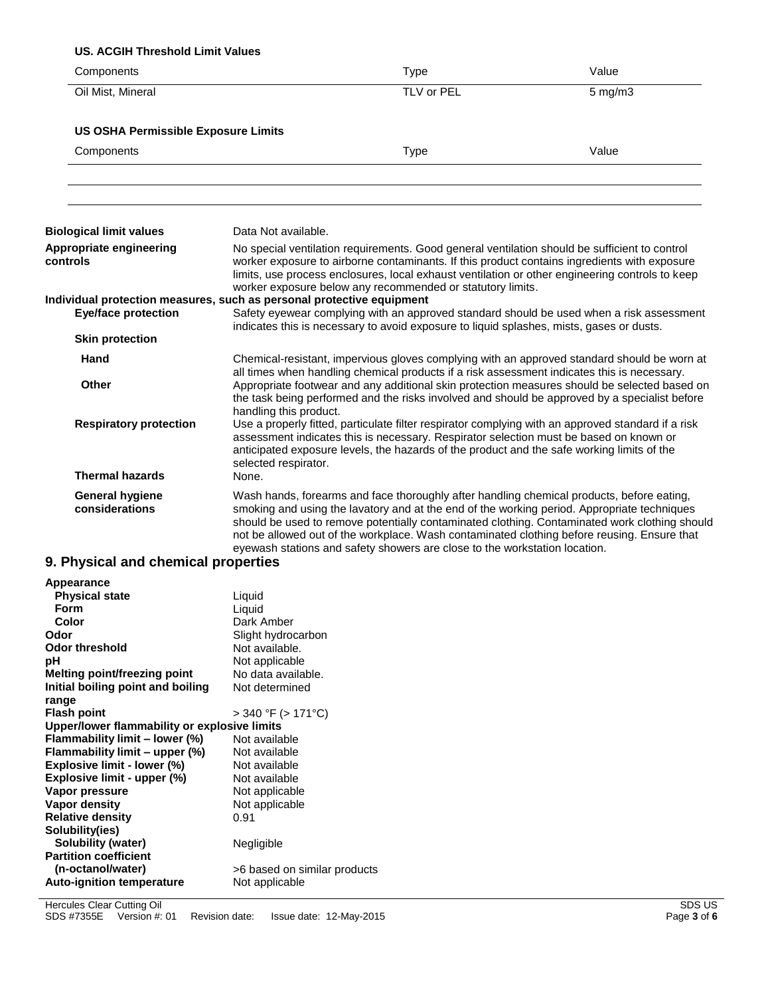## **US. ACGIH Threshold Limit Values**

| Components                                                                                          |                               | <b>Type</b>                                                                                                                                                                                                                                                                                                                                                           | Value                                                                                                                                                                                         |
|-----------------------------------------------------------------------------------------------------|-------------------------------|-----------------------------------------------------------------------------------------------------------------------------------------------------------------------------------------------------------------------------------------------------------------------------------------------------------------------------------------------------------------------|-----------------------------------------------------------------------------------------------------------------------------------------------------------------------------------------------|
| Oil Mist, Mineral                                                                                   |                               | TLV or PEL                                                                                                                                                                                                                                                                                                                                                            | $5$ mg/m $3$                                                                                                                                                                                  |
| <b>US OSHA Permissible Exposure Limits</b>                                                          |                               |                                                                                                                                                                                                                                                                                                                                                                       |                                                                                                                                                                                               |
| Components                                                                                          |                               | <b>Type</b>                                                                                                                                                                                                                                                                                                                                                           | Value                                                                                                                                                                                         |
|                                                                                                     |                               |                                                                                                                                                                                                                                                                                                                                                                       |                                                                                                                                                                                               |
| <b>Biological limit values</b>                                                                      | Data Not available.           |                                                                                                                                                                                                                                                                                                                                                                       |                                                                                                                                                                                               |
| Appropriate engineering<br>controls                                                                 |                               | No special ventilation requirements. Good general ventilation should be sufficient to control<br>worker exposure to airborne contaminants. If this product contains ingredients with exposure<br>limits, use process enclosures, local exhaust ventilation or other engineering controls to keep<br>worker exposure below any recommended or statutory limits.        |                                                                                                                                                                                               |
| Individual protection measures, such as personal protective equipment<br><b>Eye/face protection</b> |                               | indicates this is necessary to avoid exposure to liquid splashes, mists, gases or dusts.                                                                                                                                                                                                                                                                              | Safety eyewear complying with an approved standard should be used when a risk assessment                                                                                                      |
| <b>Skin protection</b>                                                                              |                               |                                                                                                                                                                                                                                                                                                                                                                       |                                                                                                                                                                                               |
| Hand                                                                                                |                               | all times when handling chemical products if a risk assessment indicates this is necessary.                                                                                                                                                                                                                                                                           | Chemical-resistant, impervious gloves complying with an approved standard should be worn at                                                                                                   |
| Other                                                                                               | handling this product.        |                                                                                                                                                                                                                                                                                                                                                                       | Appropriate footwear and any additional skin protection measures should be selected based on<br>the task being performed and the risks involved and should be approved by a specialist before |
| <b>Respiratory protection</b><br><b>Thermal hazards</b>                                             | selected respirator.<br>None. | Use a properly fitted, particulate filter respirator complying with an approved standard if a risk<br>assessment indicates this is necessary. Respirator selection must be based on known or<br>anticipated exposure levels, the hazards of the product and the safe working limits of the                                                                            |                                                                                                                                                                                               |
| <b>General hygiene</b><br>considerations                                                            |                               | Wash hands, forearms and face thoroughly after handling chemical products, before eating,<br>smoking and using the lavatory and at the end of the working period. Appropriate techniques<br>not be allowed out of the workplace. Wash contaminated clothing before reusing. Ensure that<br>eyewash stations and safety showers are close to the workstation location. | should be used to remove potentially contaminated clothing. Contaminated work clothing should                                                                                                 |

### **9. Physical and chemical properties**

| Appearance                                   |                              |
|----------------------------------------------|------------------------------|
| <b>Physical state</b><br>Form                | Liquid                       |
|                                              | Liquid                       |
| Color                                        | Dark Amber                   |
| Odor                                         | Slight hydrocarbon           |
| <b>Odor threshold</b>                        | Not available.               |
| рH                                           | Not applicable               |
| Melting point/freezing point                 | No data available.           |
| Initial boiling point and boiling            | Not determined               |
| range                                        |                              |
| <b>Flash point</b>                           | > 340 °F (> 171°C)           |
| Upper/lower flammability or explosive limits |                              |
| Flammability limit - lower (%)               | Not available                |
| Flammability limit - upper (%)               | Not available                |
| Explosive limit - lower (%)                  | Not available                |
| Explosive limit - upper (%)                  | Not available                |
| Vapor pressure                               | Not applicable               |
| Vapor density                                | Not applicable               |
| <b>Relative density</b>                      | 0.91                         |
| Solubility(ies)                              |                              |
| <b>Solubility (water)</b>                    | Negligible                   |
| <b>Partition coefficient</b>                 |                              |
| (n-octanol/water)                            | >6 based on similar products |
| <b>Auto-ignition temperature</b>             | Not applicable               |
|                                              |                              |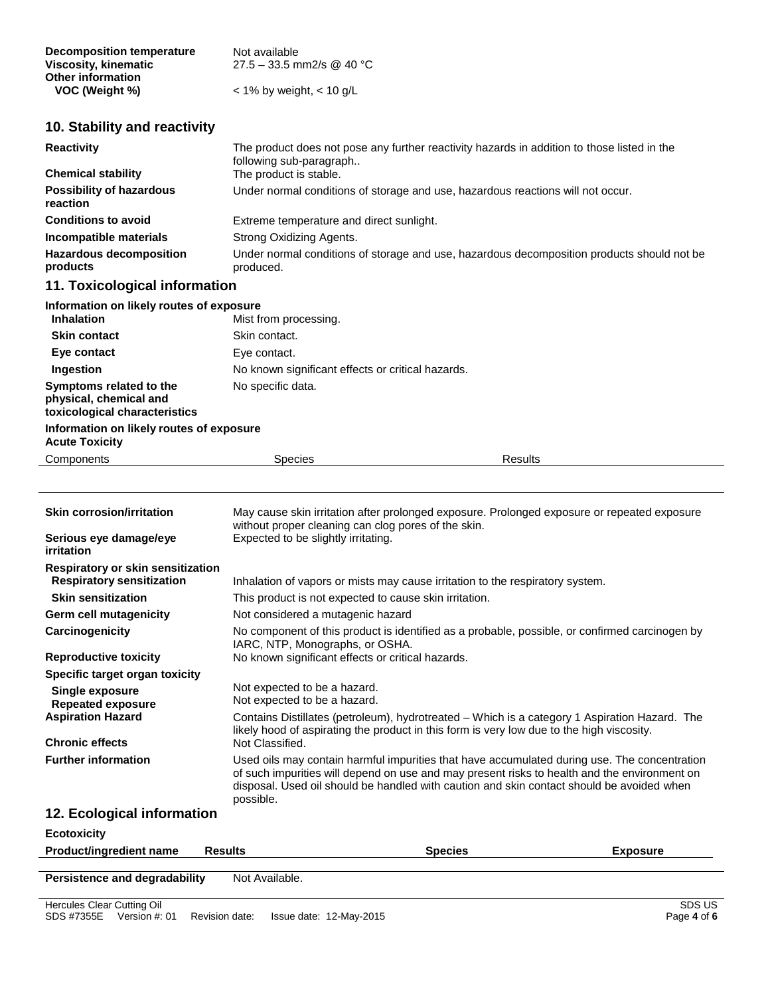| Decomposition temperature | Not available                |
|---------------------------|------------------------------|
| Viscosity, kinematic      | 27.5 – 33.5 mm2/s @ 40 °C    |
| <b>Other information</b>  |                              |
| VOC (Weight %)            | $<$ 1% by weight, $<$ 10 g/L |

## **10. Stability and reactivity**

| <b>Reactivity</b>                           | The product does not pose any further reactivity hazards in addition to those listed in the<br>following sub-paragraph |
|---------------------------------------------|------------------------------------------------------------------------------------------------------------------------|
| <b>Chemical stability</b>                   | The product is stable.                                                                                                 |
| <b>Possibility of hazardous</b><br>reaction | Under normal conditions of storage and use, hazardous reactions will not occur.                                        |
| <b>Conditions to avoid</b>                  | Extreme temperature and direct sunlight.                                                                               |
| Incompatible materials                      | Strong Oxidizing Agents.                                                                                               |
| <b>Hazardous decomposition</b><br>products  | Under normal conditions of storage and use, hazardous decomposition products should not be<br>produced.                |
| 11. Toxicological information               |                                                                                                                        |
| Information on likely routes of expecure    |                                                                                                                        |

| information on likely routes of exposure                                           |                                                   |                |
|------------------------------------------------------------------------------------|---------------------------------------------------|----------------|
| <b>Inhalation</b>                                                                  | Mist from processing.                             |                |
| <b>Skin contact</b>                                                                | Skin contact.                                     |                |
| Eye contact                                                                        | Eye contact.                                      |                |
| Ingestion                                                                          | No known significant effects or critical hazards. |                |
| Symptoms related to the<br>physical, chemical and<br>toxicological characteristics | No specific data.                                 |                |
| Information on likely routes of exposure<br><b>Acute Toxicity</b>                  |                                                   |                |
| Components                                                                         | <b>Species</b>                                    | <b>Results</b> |

| <b>Skin corrosion/irritation</b><br>Serious eye damage/eye<br><i>irritation</i> | May cause skin irritation after prolonged exposure. Prolonged exposure or repeated exposure<br>without proper cleaning can clog pores of the skin.<br>Expected to be slightly irritating.                                                                                                              |
|---------------------------------------------------------------------------------|--------------------------------------------------------------------------------------------------------------------------------------------------------------------------------------------------------------------------------------------------------------------------------------------------------|
| Respiratory or skin sensitization<br><b>Respiratory sensitization</b>           | Inhalation of vapors or mists may cause irritation to the respiratory system.                                                                                                                                                                                                                          |
| <b>Skin sensitization</b>                                                       | This product is not expected to cause skin irritation.                                                                                                                                                                                                                                                 |
| Germ cell mutagenicity                                                          | Not considered a mutagenic hazard                                                                                                                                                                                                                                                                      |
| Carcinogenicity                                                                 | No component of this product is identified as a probable, possible, or confirmed carcinogen by<br>IARC, NTP, Monographs, or OSHA.                                                                                                                                                                      |
| <b>Reproductive toxicity</b>                                                    | No known significant effects or critical hazards.                                                                                                                                                                                                                                                      |
| Specific target organ toxicity                                                  |                                                                                                                                                                                                                                                                                                        |
| Single exposure<br><b>Repeated exposure</b>                                     | Not expected to be a hazard.<br>Not expected to be a hazard.                                                                                                                                                                                                                                           |
| <b>Aspiration Hazard</b>                                                        | Contains Distillates (petroleum), hydrotreated – Which is a category 1 Aspiration Hazard. The<br>likely hood of aspirating the product in this form is very low due to the high viscosity.                                                                                                             |
| <b>Chronic effects</b>                                                          | Not Classified.                                                                                                                                                                                                                                                                                        |
| <b>Further information</b>                                                      | Used oils may contain harmful impurities that have accumulated during use. The concentration<br>of such impurities will depend on use and may present risks to health and the environment on<br>disposal. Used oil should be handled with caution and skin contact should be avoided when<br>possible. |
| 12. Ecological information                                                      |                                                                                                                                                                                                                                                                                                        |
| <b>Ecotoxicity</b>                                                              |                                                                                                                                                                                                                                                                                                        |

| <b>Product/ingredient name</b> | <b>Results</b> | <b>Species</b> | <b>Exposure</b> |
|--------------------------------|----------------|----------------|-----------------|
| Persistence and degradability  | Not Available. |                |                 |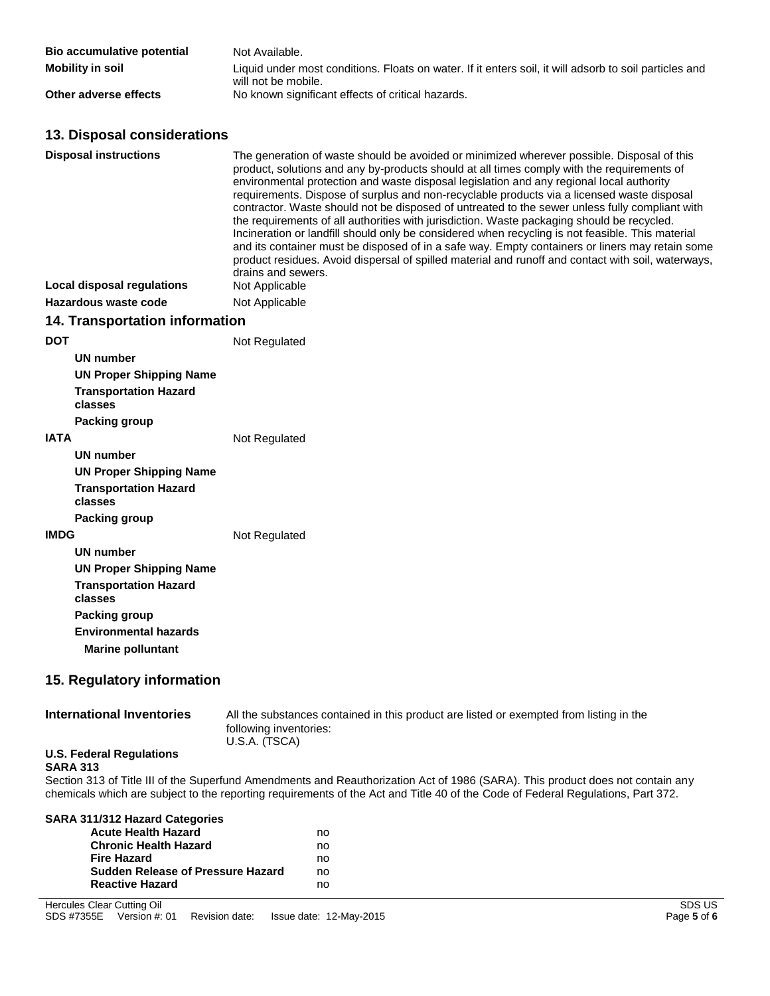| Bio accumulative potential | Not Available.                                                                                                                |
|----------------------------|-------------------------------------------------------------------------------------------------------------------------------|
| Mobility in soil           | Liquid under most conditions. Floats on water. If it enters soil, it will adsorb to soil particles and<br>will not be mobile. |
| Other adverse effects      | No known significant effects of critical hazards.                                                                             |

## **13. Disposal considerations**

|            | <b>Disposal instructions</b>                             | The generation of waste should be avoided or minimized wherever possible. Disposal of this<br>product, solutions and any by-products should at all times comply with the requirements of<br>environmental protection and waste disposal legislation and any regional local authority<br>requirements. Dispose of surplus and non-recyclable products via a licensed waste disposal<br>contractor. Waste should not be disposed of untreated to the sewer unless fully compliant with<br>the requirements of all authorities with jurisdiction. Waste packaging should be recycled.<br>Incineration or landfill should only be considered when recycling is not feasible. This material<br>and its container must be disposed of in a safe way. Empty containers or liners may retain some<br>product residues. Avoid dispersal of spilled material and runoff and contact with soil, waterways,<br>drains and sewers. |
|------------|----------------------------------------------------------|-----------------------------------------------------------------------------------------------------------------------------------------------------------------------------------------------------------------------------------------------------------------------------------------------------------------------------------------------------------------------------------------------------------------------------------------------------------------------------------------------------------------------------------------------------------------------------------------------------------------------------------------------------------------------------------------------------------------------------------------------------------------------------------------------------------------------------------------------------------------------------------------------------------------------|
|            | <b>Local disposal regulations</b>                        | Not Applicable                                                                                                                                                                                                                                                                                                                                                                                                                                                                                                                                                                                                                                                                                                                                                                                                                                                                                                        |
|            | Hazardous waste code                                     | Not Applicable                                                                                                                                                                                                                                                                                                                                                                                                                                                                                                                                                                                                                                                                                                                                                                                                                                                                                                        |
|            | <b>14. Transportation information</b>                    |                                                                                                                                                                                                                                                                                                                                                                                                                                                                                                                                                                                                                                                                                                                                                                                                                                                                                                                       |
| <b>DOT</b> |                                                          | Not Regulated                                                                                                                                                                                                                                                                                                                                                                                                                                                                                                                                                                                                                                                                                                                                                                                                                                                                                                         |
|            | <b>UN number</b>                                         |                                                                                                                                                                                                                                                                                                                                                                                                                                                                                                                                                                                                                                                                                                                                                                                                                                                                                                                       |
|            | <b>UN Proper Shipping Name</b>                           |                                                                                                                                                                                                                                                                                                                                                                                                                                                                                                                                                                                                                                                                                                                                                                                                                                                                                                                       |
|            | <b>Transportation Hazard</b><br>classes                  |                                                                                                                                                                                                                                                                                                                                                                                                                                                                                                                                                                                                                                                                                                                                                                                                                                                                                                                       |
|            | <b>Packing group</b>                                     |                                                                                                                                                                                                                                                                                                                                                                                                                                                                                                                                                                                                                                                                                                                                                                                                                                                                                                                       |
| IATA       |                                                          | Not Regulated                                                                                                                                                                                                                                                                                                                                                                                                                                                                                                                                                                                                                                                                                                                                                                                                                                                                                                         |
|            | <b>UN number</b>                                         |                                                                                                                                                                                                                                                                                                                                                                                                                                                                                                                                                                                                                                                                                                                                                                                                                                                                                                                       |
|            | <b>UN Proper Shipping Name</b>                           |                                                                                                                                                                                                                                                                                                                                                                                                                                                                                                                                                                                                                                                                                                                                                                                                                                                                                                                       |
|            | <b>Transportation Hazard</b><br>classes                  |                                                                                                                                                                                                                                                                                                                                                                                                                                                                                                                                                                                                                                                                                                                                                                                                                                                                                                                       |
|            | Packing group                                            |                                                                                                                                                                                                                                                                                                                                                                                                                                                                                                                                                                                                                                                                                                                                                                                                                                                                                                                       |
| IMDG       |                                                          | Not Regulated                                                                                                                                                                                                                                                                                                                                                                                                                                                                                                                                                                                                                                                                                                                                                                                                                                                                                                         |
|            | <b>UN number</b>                                         |                                                                                                                                                                                                                                                                                                                                                                                                                                                                                                                                                                                                                                                                                                                                                                                                                                                                                                                       |
|            | <b>UN Proper Shipping Name</b>                           |                                                                                                                                                                                                                                                                                                                                                                                                                                                                                                                                                                                                                                                                                                                                                                                                                                                                                                                       |
|            | <b>Transportation Hazard</b><br>classes                  |                                                                                                                                                                                                                                                                                                                                                                                                                                                                                                                                                                                                                                                                                                                                                                                                                                                                                                                       |
|            | Packing group                                            |                                                                                                                                                                                                                                                                                                                                                                                                                                                                                                                                                                                                                                                                                                                                                                                                                                                                                                                       |
|            | <b>Environmental hazards</b><br><b>Marine polluntant</b> |                                                                                                                                                                                                                                                                                                                                                                                                                                                                                                                                                                                                                                                                                                                                                                                                                                                                                                                       |
|            | 15. Regulatory information                               |                                                                                                                                                                                                                                                                                                                                                                                                                                                                                                                                                                                                                                                                                                                                                                                                                                                                                                                       |
|            | <b>International Inventories</b>                         | All the substances contained in this product are listed or exempted from listing in the                                                                                                                                                                                                                                                                                                                                                                                                                                                                                                                                                                                                                                                                                                                                                                                                                               |

## **U.S. Federal Regulations**

## following inventories: U.S.A. (TSCA)

#### **SARA 313**

Section 313 of Title III of the Superfund Amendments and Reauthorization Act of 1986 (SARA). This product does not contain any chemicals which are subject to the reporting requirements of the Act and Title 40 of the Code of Federal Regulations, Part 372.

| SARA 311/312 Hazard Categories           |    |
|------------------------------------------|----|
| <b>Acute Health Hazard</b>               | no |
| <b>Chronic Health Hazard</b>             | no |
| <b>Fire Hazard</b>                       | no |
| <b>Sudden Release of Pressure Hazard</b> | no |
| <b>Reactive Hazard</b>                   | no |